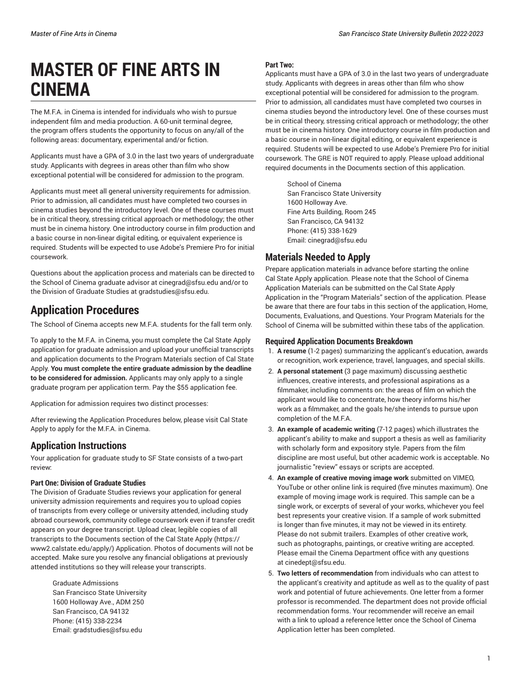# **MASTER OF FINE ARTS IN CINEMA**

The M.F.A. in Cinema is intended for individuals who wish to pursue independent film and media production. A 60-unit terminal degree, the program offers students the opportunity to focus on any/all of the following areas: documentary, experimental and/or fiction.

Applicants must have a GPA of 3.0 in the last two years of undergraduate study. Applicants with degrees in areas other than film who show exceptional potential will be considered for admission to the program.

Applicants must meet all general university requirements for admission. Prior to admission, all candidates must have completed two courses in cinema studies beyond the introductory level. One of these courses must be in critical theory, stressing critical approach or methodology; the other must be in cinema history. One introductory course in film production and a basic course in non-linear digital editing, or equivalent experience is required. Students will be expected to use Adobe's Premiere Pro for initial coursework.

Questions about the application process and materials can be directed to the School of Cinema graduate advisor at [cinegrad@sfsu.edu](mailto:cinegrad@sfsu.edu) and/or to the Division of Graduate Studies at [gradstudies@sfsu.edu.](mailto:gradstudies@sfsu.edu)

### **Application Procedures**

The School of Cinema accepts new M.F.A. students for the fall term only.

To apply to the M.F.A. in Cinema, you must complete the Cal State Apply application for graduate admission and upload your unofficial transcripts and application documents to the Program Materials section of Cal State Apply. **You must complete the entire graduate admission by the deadline to be considered for admission.** Applicants may only apply to a single graduate program per application term. Pay the \$55 application fee.

Application for admission requires two distinct processes:

After reviewing the Application Procedures below, please visit Cal State Apply to apply for the M.F.A. in Cinema.

### **Application Instructions**

Your application for graduate study to SF State consists of a two-part review:

#### **Part One: Division of Graduate Studies**

The Division of Graduate Studies reviews your application for general university admission requirements and requires you to upload copies of transcripts from every college or university attended, including study abroad coursework, community college coursework even if transfer credit appears on your degree transcript. Upload clear, legible copies of all transcripts to the Documents section of the [Cal State Apply](https://www2.calstate.edu/apply/) ([https://](https://www2.calstate.edu/apply/) [www2.calstate.edu/apply/](https://www2.calstate.edu/apply/)) Application. Photos of documents will not be accepted. Make sure you resolve any financial obligations at previously attended institutions so they will release your transcripts.

 Graduate Admissions San Francisco State University 1600 Holloway Ave., ADM 250 San Francisco, CA 94132 Phone: (415) 338-2234 Email: [gradstudies@sfsu.edu](mailto:gradstudies@sfsu.edu)

#### **Part Two:**

Applicants must have a GPA of 3.0 in the last two years of undergraduate study. Applicants with degrees in areas other than film who show exceptional potential will be considered for admission to the program. Prior to admission, all candidates must have completed two courses in cinema studies beyond the introductory level. One of these courses must be in critical theory, stressing critical approach or methodology; the other must be in cinema history. One introductory course in film production and a basic course in non-linear digital editing, or equivalent experience is required. Students will be expected to use Adobe's Premiere Pro for initial coursework. The GRE is NOT required to apply. Please upload additional required documents in the Documents section of this application.

 School of Cinema San Francisco State University 1600 Holloway Ave. Fine Arts Building, Room 245 San Francisco, CA 94132 Phone: (415) 338-1629 Email: [cinegrad@sfsu.edu](mailto:cinegrad@sfsu.edu)

### **Materials Needed to Apply**

Prepare application materials in advance before starting the online Cal State Apply application. Please note that the School of Cinema Application Materials can be submitted on the Cal State Apply Application in the "Program Materials" section of the application. Please be aware that there are four tabs in this section of the application, Home, Documents, Evaluations, and Questions. Your Program Materials for the School of Cinema will be submitted within these tabs of the application.

#### **Required Application Documents Breakdown**

- 1. **A resume** (1-2 pages) summarizing the applicant's education, awards or recognition, work experience, travel, languages, and special skills.
- 2. **A personal statement** (3 page maximum) discussing aesthetic influences, creative interests, and professional aspirations as a filmmaker, including comments on: the areas of film on which the applicant would like to concentrate, how theory informs his/her work as a filmmaker, and the goals he/she intends to pursue upon completion of the M.F.A.
- 3. **An example of academic writing** (7-12 pages) which illustrates the applicant's ability to make and support a thesis as well as familiarity with scholarly form and expository style. Papers from the film discipline are most useful, but other academic work is acceptable. No journalistic "review" essays or scripts are accepted.
- 4. **An example of creative moving image work** submitted on VIMEO, YouTube or other online link is required (five minutes maximum). One example of moving image work is required. This sample can be a single work, or excerpts of several of your works, whichever you feel best represents your creative vision. If a sample of work submitted is longer than five minutes, it may not be viewed in its entirety. Please do not submit trailers. Examples of other creative work, such as photographs, paintings, or creative writing are accepted. Please email the Cinema Department office with any questions at [cinedept@sfsu.edu.](mailto:cinedept@sfsu.edu)
- 5. **Two letters of recommendation** from individuals who can attest to the applicant's creativity and aptitude as well as to the quality of past work and potential of future achievements. One letter from a former professor is recommended. The department does not provide official recommendation forms. Your recommender will receive an email with a link to upload a reference letter once the School of Cinema Application letter has been completed.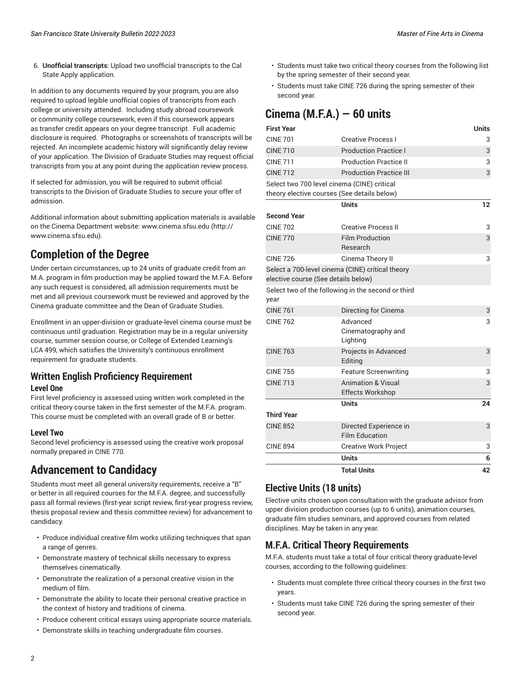6. **Unofficial transcripts**: Upload two unofficial transcripts to the Cal State Apply application.

In addition to any documents required by your program, you are also required to upload legible unofficial copies of transcripts from each college or university attended. Including study abroad coursework or community college coursework, even if this coursework appears as transfer credit appears on your degree transcript. Full academic disclosure is required. Photographs or screenshots of transcripts will be rejected. An incomplete academic history will significantly delay review of your application. The Division of Graduate Studies may request official transcripts from you at any point during the application review process.

If selected for admission, you will be required to submit official transcripts to the Division of Graduate Studies to secure your offer of admission.

Additional information about submitting application materials is available on the Cinema Department website: [www.cinema.sfsu.edu \(http://](http://www.cinema.sfsu.edu) [www.cinema.sfsu.edu](http://www.cinema.sfsu.edu)).

# **Completion of the Degree**

Under certain circumstances, up to 24 units of graduate credit from an M.A. program in film production may be applied toward the M.F.A. Before any such request is considered, all admission requirements must be met and all previous coursework must be reviewed and approved by the Cinema graduate committee and the Dean of Graduate Studies.

Enrollment in an upper-division or graduate-level cinema course must be continuous until graduation. Registration may be in a regular university course, summer session course, or College of Extended Learning's LCA 499, which satisfies the University's continuous enrollment requirement for graduate students.

### **Written English Proficiency Requirement Level One**

First level proficiency is assessed using written work completed in the critical theory course taken in the first semester of the M.F.A. program. This course must be completed with an overall grade of B or better.

#### **Level Two**

Second level proficiency is assessed using the creative work proposal normally prepared in CINE 770.

## **Advancement to Candidacy**

Students must meet all general university requirements, receive a "B" or better in all required courses for the M.F.A. degree, and successfully pass all formal reviews (first-year script review, first-year progress review, thesis proposal review and thesis committee review) for advancement to candidacy.

- Produce individual creative film works utilizing techniques that span a range of genres.
- Demonstrate mastery of technical skills necessary to express themselves cinematically.
- Demonstrate the realization of a personal creative vision in the medium of film.
- Demonstrate the ability to locate their personal creative practice in the context of history and traditions of cinema.
- Produce coherent critical essays using appropriate source materials.
- Demonstrate skills in teaching undergraduate film courses.
- Students must take two critical theory courses from the following list by the spring semester of their second year.
- Students must take CINE 726 during the spring semester of their second year.

# **Cinema (M.F.A.) — 60 units**

| <b>First Year</b>                                                                          |                                                          | <b>Units</b> |
|--------------------------------------------------------------------------------------------|----------------------------------------------------------|--------------|
| <b>CINE 701</b>                                                                            | <b>Creative Process I</b>                                | 3            |
| <b>CINE 710</b>                                                                            | <b>Production Practice I</b>                             | 3            |
| <b>CINE 711</b>                                                                            | <b>Production Practice II</b>                            | 3            |
| <b>CINE 712</b>                                                                            | <b>Production Practice III</b>                           | 3            |
| Select two 700 level cinema (CINE) critical<br>theory elective courses (See details below) |                                                          |              |
|                                                                                            | <b>Units</b>                                             | 12           |
| <b>Second Year</b>                                                                         |                                                          |              |
| <b>CINE 702</b>                                                                            | <b>Creative Process II</b>                               | 3            |
| <b>CINF 770</b>                                                                            | <b>Film Production</b><br>Research                       | 3            |
| <b>CINE 726</b>                                                                            | Cinema Theory II                                         | 3            |
| Select a 700-level cinema (CINE) critical theory<br>elective course (See details below)    |                                                          |              |
| year                                                                                       | Select two of the following in the second or third       |              |
| <b>CINE 761</b>                                                                            | Directing for Cinema                                     | 3            |
| <b>CINE 762</b>                                                                            | Advanced<br>Cinematography and<br>Lighting               | 3            |
| <b>CINE 763</b>                                                                            | Projects in Advanced<br>Editing                          | 3            |
| <b>CINE 755</b>                                                                            | <b>Feature Screenwriting</b>                             | 3            |
| <b>CINE 713</b>                                                                            | <b>Animation &amp; Visual</b><br><b>Effects Workshop</b> | 3            |
|                                                                                            | <b>Units</b>                                             | 24           |
| <b>Third Year</b>                                                                          |                                                          |              |
| <b>CINE 852</b>                                                                            | Directed Experience in<br><b>Film Education</b>          | 3            |
| <b>CINE 894</b>                                                                            | <b>Creative Work Project</b>                             | 3            |
|                                                                                            | Units                                                    | 6            |
|                                                                                            | <b>Total Units</b>                                       | 42           |

### **Elective Units (18 units)**

Elective units chosen upon consultation with the graduate advisor from upper division production courses (up to 6 units), animation courses, graduate film studies seminars, and approved courses from related disciplines. May be taken in any year.

### **M.F.A. Critical Theory Requirements**

M.F.A. students must take a total of four critical theory graduate-level courses, according to the following guidelines:

- Students must complete three critical theory courses in the first two years.
- Students must take CINE 726 during the spring semester of their second year.